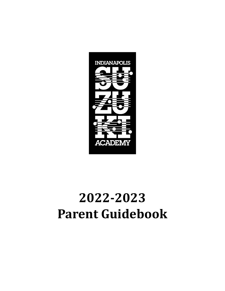

# **2022-2023 Parent Guidebook**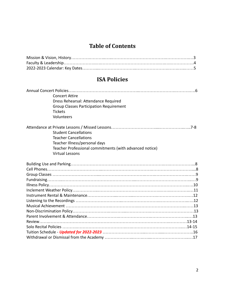### **Table of Contents**

### **ISA Policies**

| <b>Concert Attire</b>                                   |  |
|---------------------------------------------------------|--|
| Dress Rehearsal: Attendance Required                    |  |
| <b>Group Classes Participation Requirement</b>          |  |
| <b>Tickets</b>                                          |  |
| Volunteers                                              |  |
|                                                         |  |
| <b>Student Cancellations</b>                            |  |
| <b>Teacher Cancellations</b>                            |  |
| Teacher Illness/personal days                           |  |
| Teacher Professional commitments (with advanced notice) |  |
| <b>Virtual Lessons</b>                                  |  |
|                                                         |  |
|                                                         |  |
|                                                         |  |
|                                                         |  |
|                                                         |  |
|                                                         |  |
|                                                         |  |
|                                                         |  |
|                                                         |  |
|                                                         |  |
|                                                         |  |
|                                                         |  |
|                                                         |  |
|                                                         |  |
|                                                         |  |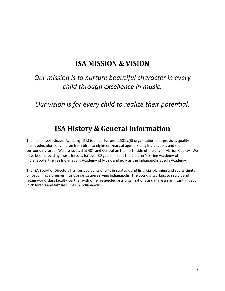# **ISA MISSION & VISION**

# *Our mission is to nurture beautiful character in every child through excellence in music.*

*Our vision is for every child to realize their potential.*

# **ISA History & General Information**

The Indianapolis Suzuki Academy (ISA) is a not -for-profit 501 c(3) organization that provides quality music education for children from birth to eighteen years of age servicing Indianapolis and the surrounding area. We are located at 40<sup>th</sup> and Central on the north side of the city in Marion County. We have been providing music lessons for over 30 years, first as the Children's String Academy of Indianapolis, then as Indianapolis Academy of Music and now as the Indianapolis Suzuki Academy.

The ISA Board of Directors has ramped up its efforts in strategic and financial planning and set its sights on becoming a premier music organization serving Indianapolis. The Board is working to recruit and retain world class faculty, partner with other respected arts organizations and make a significant impact in children's and families' lives in Indianapolis.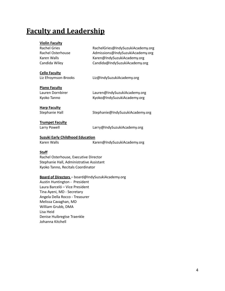# **Faculty and Leadership**

### **Violin Faculty** Rachel Gries RachelGries@IndySuzukiAcademy.org Rachel Osterhouse **Admissions@IndySuzukiAcademy.org** Karen Walls **Karen@IndySuzukiAcademy.org** Candida Wiley Candida@IndySuzukiAcademy.org **Cello Faculty** Liz Efroymson-Brooks Liz@IndySuzukiAcademy.org **Piano Faculty**

Lauren Dornbirer Lauren@IndySuzukiAcademy.org Kyoko Tanno Kyoko@IndySuzukiAcademy.org

# **Harp Faculty**

Stephanie Hall Stephanie@IndySuzukiAcademy.org

#### **Trumpet Faculty**

Larry Powell Larry@IndySuzukiAcademy.org

#### **Suzuki Early Childhood Education**

Karen Walls **Karen@IndySuzukiAcademy.org** 

#### **Staff**

Rachel Osterhouse, Executive Director Stephanie Hall, Administrative Assistant Kyoko Tanno, Recitals Coordinator

#### **Board of Directors** – board@IndySuzukiAcademy.org

Austin Huntington - President Laura Barceló – Vice President Tina Ayeni, MD - Secretary Angela Della Rocco - Treasurer Melissa Cavaghan, MD William Grubb, DMA Lisa Heid Denise Huibregtse Traenkle Johanna Kitchell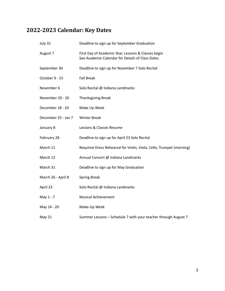## **2022-2023 Calendar: Key Dates**

| July 31             | Deadline to sign up for September Graduation                                                            |
|---------------------|---------------------------------------------------------------------------------------------------------|
| August 7            | First Day of Academic Year, Lessons & Classes begin<br>See Academic Calendar for Details of Class Dates |
| September 30        | Deadline to sign up for November 7 Solo Recital                                                         |
| October 9 - 15      | <b>Fall Break</b>                                                                                       |
| November 6          | Solo Recital @ Indiana Landmarks                                                                        |
| November 20 - 26    | <b>Thanksgiving Break</b>                                                                               |
| December 18 - 24    | Make Up Week                                                                                            |
| December 25 - Jan 7 | <b>Winter Break</b>                                                                                     |
| January 8           | Lessons & Classes Resume                                                                                |
| February 28         | Deadline to sign up for April 23 Solo Recital                                                           |
| March 11            | Required Dress Rehearsal for Violin, Viola, Cello, Trumpet (morning)                                    |
| March 12            | Annual Concert @ Indiana Landmarks                                                                      |
| March 31            | Deadline to sign up for May Graduation                                                                  |
| March 26 - April 8  | <b>Spring Break</b>                                                                                     |
| April 23            | Solo Recital @ Indiana Landmarks                                                                        |
| May 1 - 7           | <b>Musical Achievement</b>                                                                              |
| May 14 - 20         | Make-Up Week                                                                                            |
| May 21              | Summer Lessons - Schedule 7 with your teacher through August 7                                          |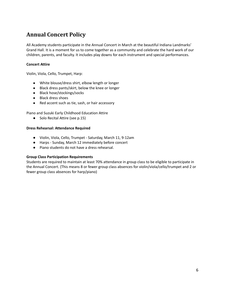### **Annual Concert Policy**

All Academy students participate in the Annual Concert in March at the beautiful Indiana Landmarks' Grand Hall. It is a moment for us to come together as a community and celebrate the hard work of our children, parents, and faculty. It includes play downs for each instrument and special performances.

#### **Concert Attire**

Violin, Viola, Cello, Trumpet, Harp:

- White blouse/dress shirt, elbow length or longer
- Black dress pants/skirt, below the knee or longer
- Black hose/stockings/socks
- Black dress shoes
- Red accent such as tie, sash, or hair accessory

Piano and Suzuki Early Childhood Education Attire

● Solo Recital Attire (see p.15)

#### **Dress Rehearsal: Attendance Required**

- Violin, Viola, Cello, Trumpet Saturday, March 11, 9-12am
- Harps Sunday, March 12 immediately before concert
- Piano students do not have a dress rehearsal.

#### **Group Class Participation Requirements**

Students are required to maintain at least 70% attendance in group class to be eligible to participate in the Annual Concert. (This means 8 or fewer group class absences for violin/viola/cello/trumpet and 2 or fewer group class absences for harp/piano)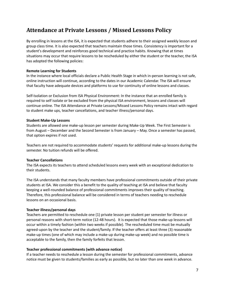### **Attendance at Private Lessons / Missed Lessons Policy**

By enrolling in lessons at the ISA, it is expected that students adhere to their assigned weekly lesson and group class time. It is also expected that teachers maintain those times. Consistency is important for a student's development and reinforces good technical and practice habits. Knowing that at times situations may occur that require lessons to be rescheduled by either the student or the teacher, the ISA has adopted the following policies:

#### **Remote Learning for Students**

In the instance where local officials declare a Public Health Stage in which in-person learning is not safe, online instruction will continue, according to the dates in our Academic Calendar. The ISA will ensure that faculty have adequate devices and platforms to use for continuity of online lessons and classes.

Self-Isolation or Exclusion from ISA Physical Environment: In the instance that an enrolled family is required to self isolate or be excluded from the physical ISA environment, lessons and classes will continue online. The ISA Attendance at Private Lessons/Missed Lessons Policy remains intact with regard to student make ups, teacher cancellations, and teacher illness/personal days.

#### **Student Make-Up Lessons**

Students are allowed one make-up lesson per semester during Make-Up Week. The First Semester is from August – December and the Second Semester is from January – May. Once a semester has passed, that option expires if not used.

Teachers are not required to accommodate students' requests for additional make-up lessons during the semester. No tuition refunds will be offered.

#### **Teacher Cancellations**

The ISA expects its teachers to attend scheduled lessons every week with an exceptional dedication to their students.

The ISA understands that many faculty members have professional commitments outside of their private students at ISA. We consider this a benefit to the quality of teaching at ISA and believe that faculty keeping a well-rounded balance of professional commitments improves their quality of teaching. Therefore, this professional balance will be considered in terms of teachers needing to reschedule lessons on an occasional basis.

#### **Teacher illness/personal days**

Teachers are permitted to reschedule one (1) private lesson per student per semester for illness or personal reasons with short-term notice (12-48 hours). It is expected that those make-up lessons will occur within a timely fashion (within two weeks if possible). The rescheduled time must be mutually agreed-upon by the teacher and the student/family. If the teacher offers at least three (3) reasonable make-up times (one of which may include a make-up during make-up week) and no possible time is acceptable to the family, then the family forfeits that lesson.

#### **Teacher professional commitments (with advance notice)**

If a teacher needs to reschedule a lesson during the semester for professional commitments, advance notice must be given to students/families as early as possible, but no later than one week in advance.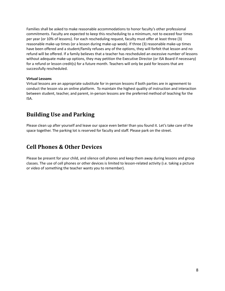Families shall be asked to make reasonable accommodations to honor faculty's other professional commitments. Faculty are expected to keep this rescheduling to a minimum, not to exceed four times per year (or 10% of lessons). For each rescheduling request, faculty must offer at least three (3) reasonable make-up times (or a lesson during make-up week). If three (3) reasonable make-up times have been offered and a student/family refuses any of the options, they will forfeit that lesson and no refund will be offered. If a family believes that a teacher has rescheduled an excessive number of lessons without adequate make-up options, they may petition the Executive Director (or ISA Board if necessary) for a refund or lesson credit(s) for a future month. Teachers will only be paid for lessons that are successfully rescheduled.

#### **Virtual Lessons**

Virtual lessons are an appropriate substitute for in-person lessons if both parties are in agreement to conduct the lesson via an online platform. To maintain the highest quality of instruction and interaction between student, teacher, and parent, in-person lessons are the preferred method of teaching for the ISA.

### **Building Use and Parking**

Please clean up after yourself and leave our space even better than you found it. Let's take care of the space together. The parking lot is reserved for faculty and staff. Please park on the street.

### **Cell Phones & Other Devices**

Please be present for your child, and silence cell phones and keep them away during lessons and group classes. The use of cell phones or other devices is limited to lesson-related activity (i.e. taking a picture or video of something the teacher wants you to remember).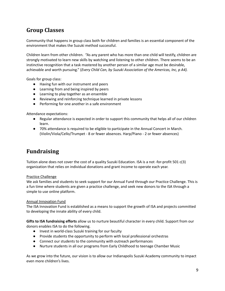### **Group Classes**

Community that happens in group class both for children and families is an essential component of the environment that makes the Suzuki method successful.

Children learn from other children. "As any parent who has more than one child will testify, children are strongly motivated to learn new skills by watching and listening to other children. There seems to be an instinctive recognition that a task mastered by another person of a similar age must be desirable, achievable and worth pursuing." (*Every Child Can, by Suzuki Association of the Americas, Inc, p A4).*

Goals for group class:

- Having fun with our instrument and peers
- Learning from and being inspired by peers
- Learning to play together as an ensemble
- Reviewing and reinforcing technique learned in private lessons
- Performing for one another in a safe environment

Attendance expectations:

- Regular attendance is expected in order to support this community that helps all of our children learn.
- 70% attendance is required to be eligible to participate in the Annual Concert in March. (Violin/Viola/Cello/Trumpet - 8 or fewer absences. Harp/Piano - 2 or fewer absences)

### **Fundraising**

Tuition alone does not cover the cost of a quality Suzuki Education. ISA is a not -for-profit 501 c(3) organization that relies on individual donations and grant income to operate each year.

#### Practice Challenge

We ask families and students to seek support for our Annual Fund through our Practice Challenge. This is a fun time where students are given a practice challenge, and seek new donors to the ISA through a simple to use online platform.

#### Annual Innovation Fund

The ISA Innovation Fund is established as a means to support the growth of ISA and projects committed to developing the innate ability of every child.

**Gifts to ISA fundraising efforts** allow us to nurture beautiful character in every child. Support from our donors enables ISA to do the following.

- Invest in world-class Suzuki training for our faculty
- Provide students the opportunity to perform with local professional orchestras
- Connect our students to the community with outreach performances
- Nurture students in all our programs from Early Childhood to teenage Chamber Music

As we grow into the future, our vision is to allow our Indianapolis Suzuki Academy community to impact even more children's lives.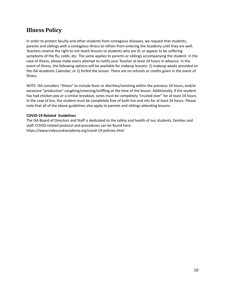### **Illness Policy**

In order to protect faculty and other students from contagious diseases, we request that students, parents and siblings with a contagious illness to refrain from entering the Academy until they are well. Teachers reserve the right to not teach lessons to students who are ill, or appear to be suffering symptoms of the flu, colds, etc. The same applies to parents or siblings accompanying the student. In the case of illness, please make every attempt to notify your Teacher at least 24 hours in advance. In the event of illness, the following options will be available for makeup lessons: 1) makeup weeks provided on the ISA Academic Calendar; or 2) forfeit the lesson. There are no refunds or credits given in the event of illness.

NOTE: ISA considers "illness" to include fever or diarrhea/vomiting within the previous 24 hours, and/or excessive "productive" coughing/sneezing/sniffling at the time of the lesson. Additionally, if the student has had chicken pox or a similar breakout, sores must be completely "crusted over" for at least 24 hours. In the case of lice, the student must be completely free of both lice and nits for at least 24 hours. Please note that all of the above guidelines also apply to parents and siblings attending lessons.

#### **COVID-19 Related Guidelines**

The ISA Board of Directors and Staff is dedicated to the safety and health of our students, families and staff. COVID-related protocol and procedures can be found here. https://www.indysuzukiacademy.org/covid-19-policies.html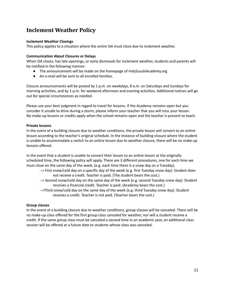### **Inclement Weather Policy**

#### **Inclement Weather Closings**

This policy applies to a situation where the entire ISA must close due to inclement weather.

#### **Communication About Closures or Delays**

When ISA closes, has late openings, or early dismissals for inclement weather, students and parents will be notified in the following manner:

- The announcement will be made on the homepage of IndySuzukiAcademy.org
- An e-mail will be sent to all enrolled families.

Closure announcements will be posted by 1 p.m. on weekdays, 8 a.m. on Saturdays and Sundays for morning activities, and by 1 p.m. for weekend afternoon and evening activities. Additional notices will go out for special circumstances as needed.

Please use your best judgment in regard to travel for lessons. If the Academy remains open but you consider it unsafe to drive during a storm, please inform your teacher that you will miss your lesson. No make-up lessons or credits apply when the school remains open and the teacher is present to teach.

#### **Private lessons**

In the event of a building closure due to weather conditions, the private lesson will convert to an online lesson according to the teacher's original schedule. In the instance of building closure where the student is unable to accommodate a switch to an online lesson due to weather closure, there will be no make-up lessons offered.

In the event that a student is unable to convert their lesson to an online lesson at the originally scheduled time, the following policy will apply. There are 3 different procedures, one for each time we must close on the same day of the week, (e.g. each time there is a snow day on a Tuesday).

- --> First snow/cold day on a specific day of the week (e.g. first Tuesday snow day): Student does not receive a credit. Teacher is paid. (The student bears the cost.)
- --> Second snow/cold day on the same day of the week (e.g. second Tuesday snow day): Student receives a financial credit. Teacher is paid. (Academy bears the cost.)
- -->Third snow/cold day on the same day of the week (e.g. third Tuesday snow day): Student receives a credit. Teacher is not paid. (Teacher bears the cost.)

#### **Group classes**

In the event of a building closure due to weather conditions, group classes will be canceled. There will be no make-up class offered for the first group class canceled for weather, nor will a student receive a credit. If the same group class must be canceled a second time in an academic year, an additional class session will be offered at a future date to students whose class was canceled.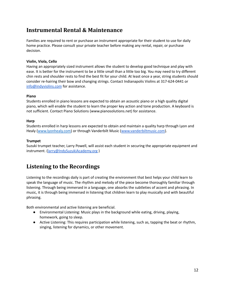### **Instrumental Rental & Maintenance**

Families are required to rent or purchase an instrument appropriate for their student to use for daily home practice. Please consult your private teacher before making any rental, repair, or purchase decision.

#### **Violin, Viola, Cello**

Having an appropriately sized instrument allows the student to develop good technique and play with ease. It is better for the instrument to be a little small than a little too big. You may need to try different chin rests and shoulder rests to find the best fit for your child. At least once a year, string students should consider re-hairing their bow and changing strings. Contact Indianapolis Violins at 317-624-0441 or [info@indyviolins.com](mailto:info@indyviolins.com) for assistance.

#### **Piano**

Students enrolled in piano lessons are expected to obtain an acoustic piano or a high quality digital piano, which will enable the student to learn the proper key action and tone production. A keyboard is not sufficient. Contact Piano Solutions (www.pianosolutions.net) for assistance.

#### **Harp**

Students enrolled in harp lessons are expected to obtain and maintain a quality harp through Lyon and Healy ([www.lyonhealy.com\)](http://www.lyonhealy.com) or through Vanderbilt Music [\(www.vanderbiltmusic.com\)](http://www.vanderbiltmusic.com).

#### **Trumpet**

Suzuki trumpet teacher, Larry Powell, will assist each student in securing the appropriate equipment and instrument. ([larry@IndySuzukiAcademy.org](mailto:larry@IndySuzukiAcademy.org))

### **Listening to the Recordings**

Listening to the recordings daily is part of creating the environment that best helps your child learn to speak the language of music. The rhythm and melody of the piece become thoroughly familiar through listening. Through being immersed in a language, one absorbs the subtleties of accent and phrasing. In music, it is through being immersed in listening that children learn to play musically and with beautiful phrasing.

Both environmental and active listening are beneficial.

- Environmental Listening: Music plays in the background while eating, driving, playing, homework, going to sleep.
- Active Listening: This requires participation while listening, such as, tapping the beat or rhythm, singing, listening for dynamics, or other movement.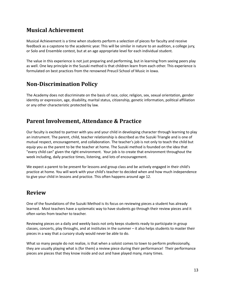### **Musical Achievement**

Musical Achievement is a time when students perform a selection of pieces for faculty and receive feedback as a capstone to the academic year. This will be similar in nature to an audition, a college jury, or Solo and Ensemble contest, but at an age appropriate level for each individual student.

The value in this experience is not just preparing and performing, but in learning from seeing peers play as well. One key principle in the Suzuki method is that children learn from each other. This experience is formulated on best practices from the renowned Preucil School of Music in Iowa.

### **Non-Discrimination Policy**

The Academy does not discriminate on the basis of race, color, religion, sex, sexual orientation, gender identity or expression, age, disability, marital status, citizenship, genetic information, political affiliation or any other characteristic protected by law.

### **Parent Involvement, Attendance & Practice**

Our faculty is excited to partner with you and your child in developing character through learning to play an instrument. The parent, child, teacher relationship is described as the Suzuki Triangle and is one of mutual respect, encouragement, and collaboration. The teacher's job is not only to teach the child but equip you as the parent to be the teacher at home. The Suzuki method is founded on the idea that "every child can" given the right environment. Your job is to create that environment throughout the week including, daily practice times, listening, and lots of encouragement.

We expect a parent to be present for lessons and group class and be actively engaged in their child's practice at home. You will work with your child's teacher to decided when and how much independence to give your child in lessons and practice. This often happens around age 12.

### **Review**

One of the foundations of the Suzuki Method is its focus on reviewing pieces a student has already learned. Most teachers have a systematic way to have students go through their review pieces and it often varies from teacher to teacher.

Reviewing pieces on a daily and weekly basis not only keeps students ready to participate in group classes, concerts, play throughs, and at institutes in the summer – it also helps students to master their pieces in a way that a cursory study would never be able to do.

What so many people do not realize, is that when a soloist comes to town to perform professionally, they are usually playing what is (for them) a review piece during their performance! Their performance pieces are pieces that they know inside and out and have played many, many times.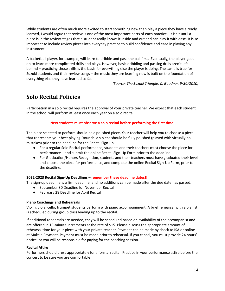While students are often much more excited to start something new than play a piece they have already learned, I would argue that review is one of the most important parts of each practice. It isn't until a piece is in the review stages that a student really knows it inside and out and can play it with ease. It is so important to include review pieces into everyday practice to build confidence and ease in playing any instrument.

A basketball player, for example, will learn to dribble and pass the ball first. Eventually, the player goes on to learn more complicated drills and plays. However, basic dribbling and passing drills aren't left behind – practicing those skills is the basis for everything else the player is doing. The same is true for Suzuki students and their review songs – the music they are learning now is built on the foundation of everything else they have learned so far.

*(Source: The Suzuki Triangle, C. Goodner, 9/30/2010)*

### **Solo Recital Policies**

Participation in a solo recital requires the approval of your private teacher. We expect that each student in the school will perform at least once each year on a solo recital.

#### **New students must observe a solo recital before performing the first time.**

The piece selected to perform should be a polished piece. Your teacher will help you to choose a piece that represents your best playing. Your child's piece should be fully polished (played with virtually no mistakes) prior to the deadline for the Recital Sign-up.

- For a regular Solo Recital performance, students and their teachers must choose the piece for performance – and submit the online Recital Sign-Up Form prior to the deadline.
- For Graduation/Honors Recognition, students and their teachers must have graduated their level and choose the piece for performance, and complete the online Recital Sign-Up Form, prior to the deadline.

#### **2022-2023 Recital Sign-Up Deadlines** – **remember these deadline dates!!!**

The sign-up deadline is a firm deadline, and no additions can be made after the due date has passed.

- September 30 Deadline for November Recital
- February 28 Deadline for April Recital

#### **Piano Coachings and Rehearsals**

Violin, viola, cello, trumpet students perform with piano accompaniment. A brief rehearsal with a pianist is scheduled during group class leading up to the recital.

If additional rehearsals are needed, they will be scheduled based on availability of the accompanist and are offered in 15-minute increments at the rate of \$15. Please discuss the appropriate amount of rehearsal time for your piece with your private teacher. Payment can be made by check to ISA or online at Make a Payment. Payment must be made prior to rehearsal. If you cancel, you must provide 24 hours' notice, or you will be responsible for paying for the coaching session.

#### **Recital Attire**

Performers should dress appropriately for a formal recital. Practice in your performance attire before the concert to be sure you are comfortable!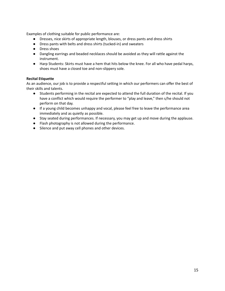Examples of clothing suitable for public performance are:

- Dresses, nice skirts of appropriate length, blouses, or dress pants and dress shirts
- Dress pants with belts and dress shirts (tucked-in) and sweaters
- Dress shoes
- Dangling earrings and beaded necklaces should be avoided as they will rattle against the instrument.
- Harp Students: Skirts must have a hem that hits below the knee. For all who have pedal harps, shoes must have a closed toe and non-slippery sole.

#### **Recital Etiquette**

As an audience, our job is to provide a respectful setting in which our performers can offer the best of their skills and talents.

- Students performing in the recital are expected to attend the full duration of the recital. If you have a conflict which would require the performer to "play and leave," then s/he should not perform on that day.
- If a young child becomes unhappy and vocal, please feel free to leave the performance area immediately and as quietly as possible.
- Stay seated during performances. If necessary, you may get up and move during the applause.
- Flash photography is not allowed during the performance.
- Silence and put away cell phones and other devices.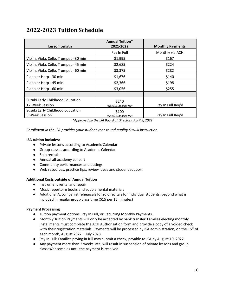### **2022-2023 Tuition Schedule**

| <b>Lesson Length</b>                                | <b>Annual Tuition*</b><br>2021-2022 | <b>Monthly Payments</b> |
|-----------------------------------------------------|-------------------------------------|-------------------------|
|                                                     | Pay In Full                         | Monthly via ACH         |
| Violin, Viola, Cello, Trumpet - 30 min              | \$1,995                             | \$167                   |
| Violin, Viola, Cello, Trumpet - 45 min              | \$2,685                             | \$224                   |
| Violin, Viola, Cello, Trumpet - 60 min              | \$3,375                             | \$282                   |
| Piano or Harp - 30 min                              | \$1,676                             | \$140                   |
| Piano or Harp - 45 min                              | \$2,366                             | \$198                   |
| Piano or Harp - 60 min                              | \$3,056                             | \$255                   |
|                                                     |                                     |                         |
| Suzuki Early Childhood Education<br>12 Week Session | \$240<br>(plus \$25 booklet fee)    | Pay In Full Reg'd       |
| Suzuki Early Childhood Education<br>5 Week Session  | \$100<br>(plus \$25 booklet fee)    | Pay In Full Reg'd       |

*\*Approved by the ISA Board of Directors, April 3, 2022*

*Enrollment in the ISA provides your student year-round quality Suzuki instruction.*

#### **ISA tuition includes:**

- Private lessons according to Academic Calendar
- Group classes according to Academic Calendar
- Solo recitals
- Annual all-academy concert
- Community performances and outings
- Web resources, practice tips, review ideas and student support

#### **Additional Costs outside of Annual Tuition**

- Instrument rental and repair
- Music repertoire books and supplemental materials
- Additional Accompanist rehearsals for solo recitals for individual students, beyond what is included in regular group class time (\$15 per 15 minutes)

#### **Payment Processing**

- Tuition payment options: Pay In Full, or Recurring Monthly Payments.
- Monthly Tuition Payments will only be accepted by bank transfer. Families electing monthly installments must complete the ACH Authorization form and provide a copy of a voided check with their registration materials. Payments will be processed by ISA administration, on the 15<sup>th</sup> of each month, August 2022 – July 2023.
- Pay In Full: Families paying in full may submit a check, payable to ISA by August 10, 2022.
- Any payment more than 2 weeks late, will result in suspension of private lessons and group classes/ensembles until the payment is resolved.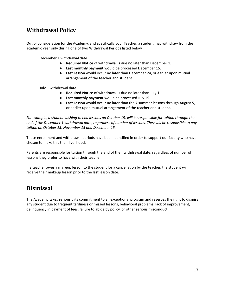### **Withdrawal Policy**

Out of consideration for the Academy, and specifically your Teacher, a student may withdraw from the academic year only during one of two Withdrawal Periods listed below.

December 1 withdrawal date

- **Required Notice** of withdrawal is due no later than December 1.
- **Last monthly payment** would be processed December 15.
- **Last Lesson** would occur no later than December 24, or earlier upon mutual arrangement of the teacher and student.

July 1 withdrawal date

- **Required Notice** of withdrawal is due no later than July 1.
- **Last monthly payment** would be processed July 15.
- **Last Lesson** would occur no later than the 7 summer lessons through August 5, or earlier upon mutual arrangement of the teacher and student.

For example, a student wishing to end lessons on October 15, will be responsible for tuition through the end of the December 1 withdrawal date, regardless of number of lessons. They will be responsible to pay *tuition on October 15, November 15 and December 15.*

These enrollment and withdrawal periods have been identified in order to support our faculty who have chosen to make this their livelihood.

Parents are responsible for tuition through the end of their withdrawal date, regardless of number of lessons they prefer to have with their teacher.

If a teacher owes a makeup lesson to the student for a cancellation by the teacher, the student will receive their makeup lesson prior to the last lesson date.

### **Dismissal**

The Academy takes seriously its commitment to an exceptional program and reserves the right to dismiss any student due to frequent tardiness or missed lessons, behavioral problems, lack of improvement, delinquency in payment of fees, failure to abide by policy, or other serious misconduct.